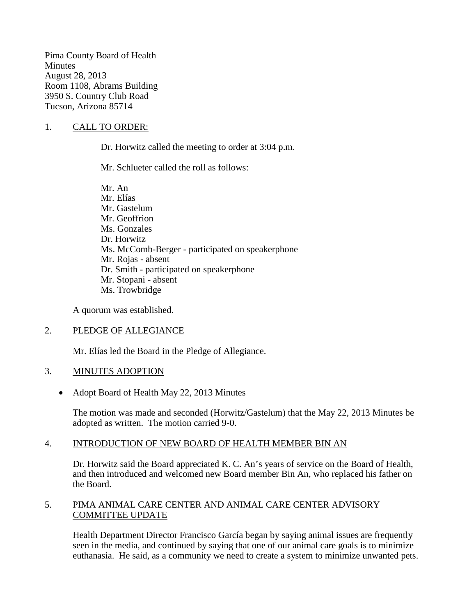Pima County Board of Health **Minutes** August 28, 2013 Room 1108, Abrams Building 3950 S. Country Club Road Tucson, Arizona 85714

### 1. CALL TO ORDER:

Dr. Horwitz called the meeting to order at 3:04 p.m.

Mr. Schlueter called the roll as follows:

Mr. An Mr. Elías Mr. Gastelum Mr. Geoffrion Ms. Gonzales Dr. Horwitz Ms. McComb-Berger - participated on speakerphone Mr. Rojas - absent Dr. Smith - participated on speakerphone Mr. Stopani - absent Ms. Trowbridge

A quorum was established.

#### 2. PLEDGE OF ALLEGIANCE

Mr. Elías led the Board in the Pledge of Allegiance.

#### 3. MINUTES ADOPTION

• Adopt Board of Health May 22, 2013 Minutes

The motion was made and seconded (Horwitz/Gastelum) that the May 22, 2013 Minutes be adopted as written. The motion carried 9-0.

#### 4. INTRODUCTION OF NEW BOARD OF HEALTH MEMBER BIN AN

Dr. Horwitz said the Board appreciated K. C. An's years of service on the Board of Health, and then introduced and welcomed new Board member Bin An, who replaced his father on the Board.

#### 5. PIMA ANIMAL CARE CENTER AND ANIMAL CARE CENTER ADVISORY COMMITTEE UPDATE

Health Department Director Francisco García began by saying animal issues are frequently seen in the media, and continued by saying that one of our animal care goals is to minimize euthanasia. He said, as a community we need to create a system to minimize unwanted pets.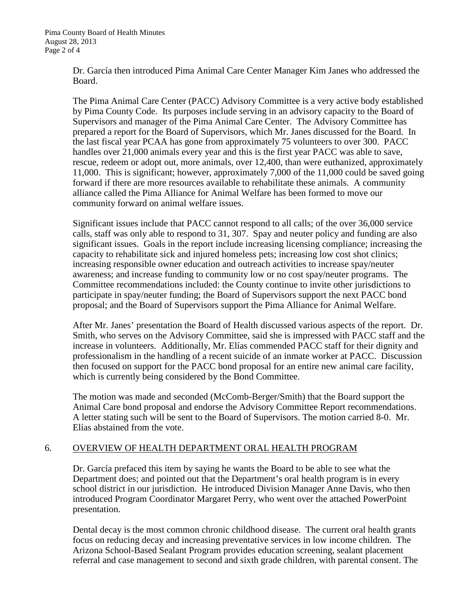Dr. García then introduced Pima Animal Care Center Manager Kim Janes who addressed the Board.

The Pima Animal Care Center (PACC) Advisory Committee is a very active body established by Pima County Code. Its purposes include serving in an advisory capacity to the Board of Supervisors and manager of the Pima Animal Care Center. The Advisory Committee has prepared a report for the Board of Supervisors, which Mr. Janes discussed for the Board. In the last fiscal year PCAA has gone from approximately 75 volunteers to over 300. PACC handles over 21,000 animals every year and this is the first year PACC was able to save, rescue, redeem or adopt out, more animals, over 12,400, than were euthanized, approximately 11,000. This is significant; however, approximately 7,000 of the 11,000 could be saved going forward if there are more resources available to rehabilitate these animals. A community alliance called the Pima Alliance for Animal Welfare has been formed to move our community forward on animal welfare issues.

Significant issues include that PACC cannot respond to all calls; of the over 36,000 service calls, staff was only able to respond to 31, 307. Spay and neuter policy and funding are also significant issues. Goals in the report include increasing licensing compliance; increasing the capacity to rehabilitate sick and injured homeless pets; increasing low cost shot clinics; increasing responsible owner education and outreach activities to increase spay/neuter awareness; and increase funding to community low or no cost spay/neuter programs. The Committee recommendations included: the County continue to invite other jurisdictions to participate in spay/neuter funding; the Board of Supervisors support the next PACC bond proposal; and the Board of Supervisors support the Pima Alliance for Animal Welfare.

After Mr. Janes' presentation the Board of Health discussed various aspects of the report. Dr. Smith, who serves on the Advisory Committee, said she is impressed with PACC staff and the increase in volunteers. Additionally, Mr. Elías commended PACC staff for their dignity and professionalism in the handling of a recent suicide of an inmate worker at PACC. Discussion then focused on support for the PACC bond proposal for an entire new animal care facility, which is currently being considered by the Bond Committee.

The motion was made and seconded (McComb-Berger/Smith) that the Board support the Animal Care bond proposal and endorse the Advisory Committee Report recommendations. A letter stating such will be sent to the Board of Supervisors. The motion carried 8-0. Mr. Elías abstained from the vote.

## 6. OVERVIEW OF HEALTH DEPARTMENT ORAL HEALTH PROGRAM

Dr. García prefaced this item by saying he wants the Board to be able to see what the Department does; and pointed out that the Department's oral health program is in every school district in our jurisdiction. He introduced Division Manager Anne Davis, who then introduced Program Coordinator Margaret Perry, who went over the attached PowerPoint presentation.

Dental decay is the most common chronic childhood disease. The current oral health grants focus on reducing decay and increasing preventative services in low income children. The Arizona School-Based Sealant Program provides education screening, sealant placement referral and case management to second and sixth grade children, with parental consent. The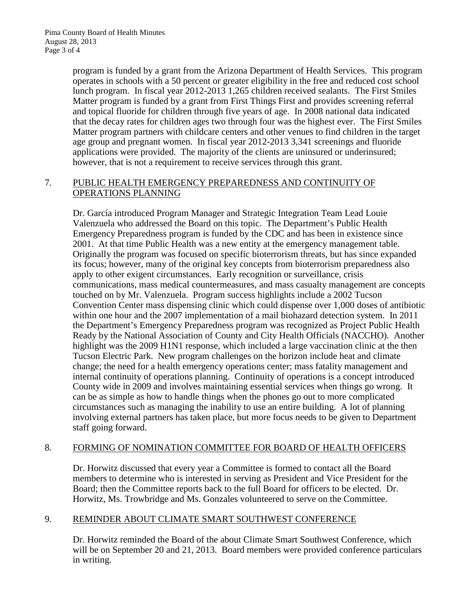program is funded by a grant from the Arizona Department of Health Services. This program operates in schools with a 50 percent or greater eligibility in the free and reduced cost school lunch program. In fiscal year 2012-2013 1,265 children received sealants. The First Smiles Matter program is funded by a grant from First Things First and provides screening referral and topical fluoride for children through five years of age. In 2008 national data indicated that the decay rates for children ages two through four was the highest ever. The First Smiles Matter program partners with childcare centers and other venues to find children in the target age group and pregnant women. In fiscal year 2012-2013 3,341 screenings and fluoride applications were provided. The majority of the clients are uninsured or underinsured; however, that is not a requirement to receive services through this grant.

### 7. PUBLIC HEALTH EMERGENCY PREPAREDNESS AND CONTINUITY OF OPERATIONS PLANNING

Dr. García introduced Program Manager and Strategic Integration Team Lead Louie Valenzuela who addressed the Board on this topic. The Department's Public Health Emergency Preparedness program is funded by the CDC and has been in existence since 2001. At that time Public Health was a new entity at the emergency management table. Originally the program was focused on specific bioterrorism threats, but has since expanded its focus; however, many of the original key concepts from bioterrorism preparedness also apply to other exigent circumstances. Early recognition or surveillance, crisis communications, mass medical countermeasures, and mass casualty management are concepts touched on by Mr. Valenzuela. Program success highlights include a 2002 Tucson Convention Center mass dispensing clinic which could dispense over 1,000 doses of antibiotic within one hour and the 2007 implementation of a mail biohazard detection system. In 2011 the Department's Emergency Preparedness program was recognized as Project Public Health Ready by the National Association of County and City Health Officials (NACCHO). Another highlight was the 2009 H1N1 response, which included a large vaccination clinic at the then Tucson Electric Park. New program challenges on the horizon include heat and climate change; the need for a health emergency operations center; mass fatality management and internal continuity of operations planning. Continuity of operations is a concept introduced County wide in 2009 and involves maintaining essential services when things go wrong. It can be as simple as how to handle things when the phones go out to more complicated circumstances such as managing the inability to use an entire building. A lot of planning involving external partners has taken place, but more focus needs to be given to Department staff going forward.

## 8. FORMING OF NOMINATION COMMITTEE FOR BOARD OF HEALTH OFFICERS

Dr. Horwitz discussed that every year a Committee is formed to contact all the Board members to determine who is interested in serving as President and Vice President for the Board; then the Committee reports back to the full Board for officers to be elected. Dr. Horwitz, Ms. Trowbridge and Ms. Gonzales volunteered to serve on the Committee.

## 9. REMINDER ABOUT CLIMATE SMART SOUTHWEST CONFERENCE

Dr. Horwitz reminded the Board of the about Climate Smart Southwest Conference, which will be on September 20 and 21, 2013. Board members were provided conference particulars in writing.